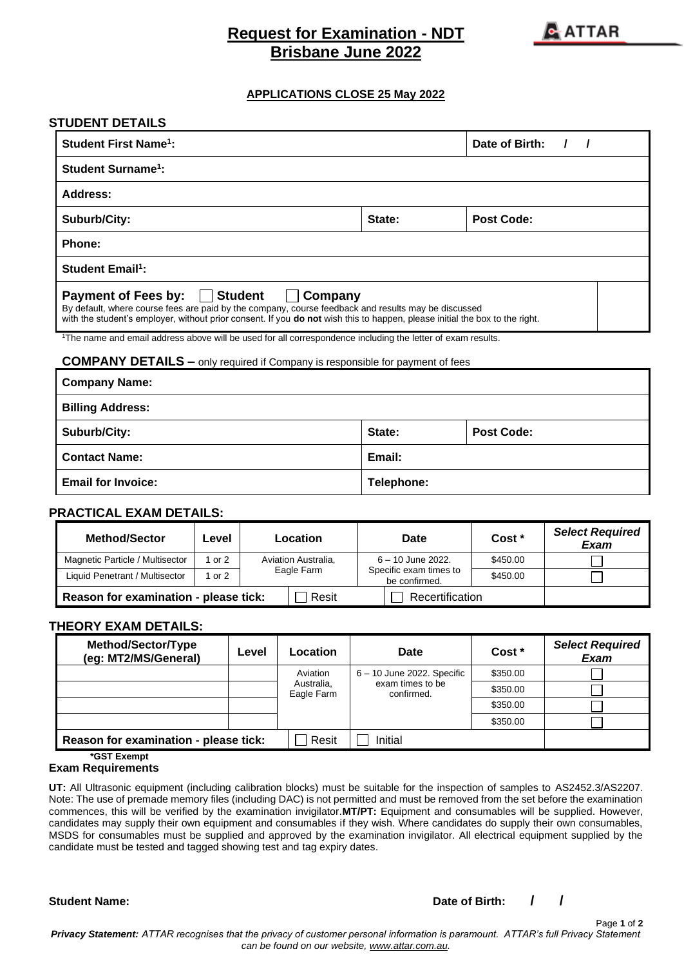# **Request for Examination - NDT Brisbane June 2022**



### **APPLICATIONS CLOSE 25 May 2022**

| <b>STUDENT DETAILS</b>                                                                                                                                                                                                                                                                        |                |                   |  |  |  |
|-----------------------------------------------------------------------------------------------------------------------------------------------------------------------------------------------------------------------------------------------------------------------------------------------|----------------|-------------------|--|--|--|
| <b>Student First Name<sup>1</sup>:</b>                                                                                                                                                                                                                                                        | Date of Birth: |                   |  |  |  |
| <b>Student Surname<sup>1</sup>:</b>                                                                                                                                                                                                                                                           |                |                   |  |  |  |
| Address:                                                                                                                                                                                                                                                                                      |                |                   |  |  |  |
| Suburb/City:                                                                                                                                                                                                                                                                                  | State:         | <b>Post Code:</b> |  |  |  |
| Phone:                                                                                                                                                                                                                                                                                        |                |                   |  |  |  |
| <b>Student Email<sup>1</sup>:</b>                                                                                                                                                                                                                                                             |                |                   |  |  |  |
| <b>Payment of Fees by:</b><br><b>Student</b><br>Company<br>By default, where course fees are paid by the company, course feedback and results may be discussed<br>with the student's employer, without prior consent. If you do not wish this to happen, please initial the box to the right. |                |                   |  |  |  |
| <sup>1</sup> The name and email address above will be used for all correspondence including the letter of exam results.                                                                                                                                                                       |                |                   |  |  |  |
| <b>COMPANY DETAILS -</b> only required if Company is responsible for payment of fees                                                                                                                                                                                                          |                |                   |  |  |  |
| <b>Company Name:</b>                                                                                                                                                                                                                                                                          |                |                   |  |  |  |
| <b>Billing Address:</b>                                                                                                                                                                                                                                                                       |                |                   |  |  |  |
| Suburb/City:                                                                                                                                                                                                                                                                                  | State:         | <b>Post Code:</b> |  |  |  |
| <b>Contact Name:</b>                                                                                                                                                                                                                                                                          | Email:         |                   |  |  |  |
| <b>Email for Invoice:</b>                                                                                                                                                                                                                                                                     | Telephone:     |                   |  |  |  |

#### **PRACTICAL EXAM DETAILS:**

| <b>Method/Sector</b>                  | Level        |                                   | Location | <b>Date</b>                                                    | Cost *   | <b>Select Required</b><br>Exam |
|---------------------------------------|--------------|-----------------------------------|----------|----------------------------------------------------------------|----------|--------------------------------|
| Magnetic Particle / Multisector       | l or 2       | Aviation Australia,<br>Eagle Farm |          | $6 - 10$ June 2022.<br>Specific exam times to<br>be confirmed. | \$450.00 |                                |
| Liquid Penetrant / Multisector        | $\circ$ or 2 |                                   |          |                                                                | \$450.00 |                                |
| Reason for examination - please tick: |              |                                   | Resit    | Recertification                                                |          |                                |

#### **THEORY EXAM DETAILS:**

| Method/Sector/Type<br>(eg: MT2/MS/General) | Level | Location                             | Date                                                           | Cost *   | <b>Select Required</b><br><b>Exam</b> |  |  |  |  |  |  |  |          |  |
|--------------------------------------------|-------|--------------------------------------|----------------------------------------------------------------|----------|---------------------------------------|--|--|--|--|--|--|--|----------|--|
|                                            |       | Aviation<br>Australia,<br>Eagle Farm | $6 - 10$ June 2022. Specific<br>exam times to be<br>confirmed. | \$350.00 |                                       |  |  |  |  |  |  |  |          |  |
|                                            |       |                                      |                                                                | \$350.00 |                                       |  |  |  |  |  |  |  |          |  |
|                                            |       |                                      |                                                                |          |                                       |  |  |  |  |  |  |  | \$350.00 |  |
|                                            |       |                                      |                                                                | \$350.00 |                                       |  |  |  |  |  |  |  |          |  |
| Reason for examination - please tick:      |       | Resit                                | Initial                                                        |          |                                       |  |  |  |  |  |  |  |          |  |

**\*GST Exempt**

#### **Exam Requirements**

**UT:** All Ultrasonic equipment (including calibration blocks) must be suitable for the inspection of samples to AS2452.3/AS2207. Note: The use of premade memory files (including DAC) is not permitted and must be removed from the set before the examination commences, this will be verified by the examination invigilator.**MT/PT:** Equipment and consumables will be supplied. However, candidates may supply their own equipment and consumables if they wish. Where candidates do supply their own consumables, MSDS for consumables must be supplied and approved by the examination invigilator. All electrical equipment supplied by the candidate must be tested and tagged showing test and tag expiry dates.

**Student Name: Date of Birth: / /**

Page **1** of **2**

*Privacy Statement: ATTAR recognises that the privacy of customer personal information is paramount. ATTAR's full Privacy Statement can be found on our website, [www.attar.com.au.](http://www.attar.com.au/)*